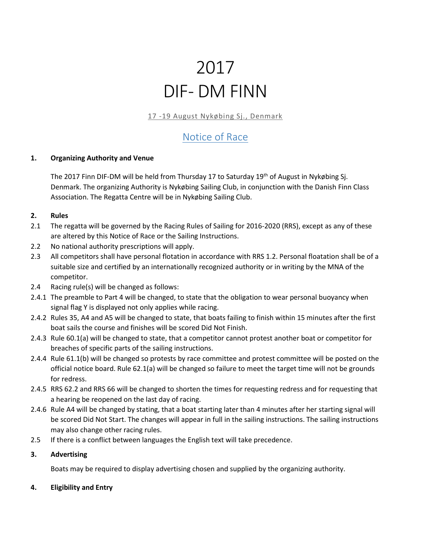# 2017 DIF- DM FINN

17 -19 August Nykøbing Sj., Denmark

# Notice of Race

# **1. Organizing Authority and Venue**

The 2017 Finn DIF-DM will be held from Thursday 17 to Saturday 19<sup>th</sup> of August in Nykøbing Sj. Denmark. The organizing Authority is Nykøbing Sailing Club, in conjunction with the Danish Finn Class Association. The Regatta Centre will be in Nykøbing Sailing Club.

#### **2. Rules**

- 2.1 The regatta will be governed by the Racing Rules of Sailing for 2016-2020 (RRS), except as any of these are altered by this Notice of Race or the Sailing Instructions.
- 2.2 No national authority prescriptions will apply.
- 2.3 All competitors shall have personal flotation in accordance with RRS 1.2. Personal floatation shall be of a suitable size and certified by an internationally recognized authority or in writing by the MNA of the competitor.
- 2.4 Racing rule(s) will be changed as follows:
- 2.4.1 The preamble to Part 4 will be changed, to state that the obligation to wear personal buoyancy when signal flag Y is displayed not only applies while racing.
- 2.4.2 Rules 35, A4 and A5 will be changed to state, that boats failing to finish within 15 minutes after the first boat sails the course and finishes will be scored Did Not Finish.
- 2.4.3 Rule 60.1(a) will be changed to state, that a competitor cannot protest another boat or competitor for breaches of specific parts of the sailing instructions.
- 2.4.4 Rule 61.1(b) will be changed so protests by race committee and protest committee will be posted on the official notice board. Rule 62.1(a) will be changed so failure to meet the target time will not be grounds for redress.
- 2.4.5 RRS 62.2 and RRS 66 will be changed to shorten the times for requesting redress and for requesting that a hearing be reopened on the last day of racing.
- 2.4.6 Rule A4 will be changed by stating, that a boat starting later than 4 minutes after her starting signal will be scored Did Not Start. The changes will appear in full in the sailing instructions. The sailing instructions may also change other racing rules.
- 2.5 If there is a conflict between languages the English text will take precedence.

# **3. Advertising**

Boats may be required to display advertising chosen and supplied by the organizing authority.

# **4. Eligibility and Entry**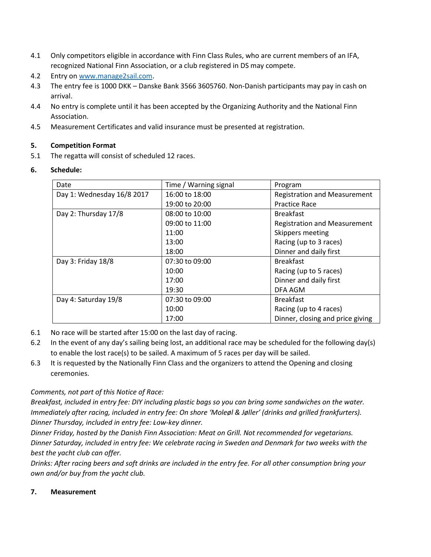- 4.1 Only competitors eligible in accordance with Finn Class Rules, who are current members of an IFA, recognized National Finn Association, or a club registered in DS may compete.
- 4.2 Entry on [www.manage2sail.com.](http://www.manage2sail.com/)
- 4.3 The entry fee is 1000 DKK Danske Bank 3566 3605760. Non-Danish participants may pay in cash on arrival.
- 4.4 No entry is complete until it has been accepted by the Organizing Authority and the National Finn Association.
- 4.5 Measurement Certificates and valid insurance must be presented at registration.

#### **5. Competition Format**

5.1 The regatta will consist of scheduled 12 races.

# **6. Schedule:**

| Date                       | Time / Warning signal | Program                             |
|----------------------------|-----------------------|-------------------------------------|
| Day 1: Wednesday 16/8 2017 | 16:00 to 18:00        | <b>Registration and Measurement</b> |
|                            | 19:00 to 20:00        | <b>Practice Race</b>                |
| Day 2: Thursday 17/8       | 08:00 to 10:00        | <b>Breakfast</b>                    |
|                            | 09:00 to 11:00        | <b>Registration and Measurement</b> |
|                            | 11:00                 | Skippers meeting                    |
|                            | 13:00                 | Racing (up to 3 races)              |
|                            | 18:00                 | Dinner and daily first              |
| Day 3: Friday 18/8         | 07:30 to 09:00        | <b>Breakfast</b>                    |
|                            | 10:00                 | Racing (up to 5 races)              |
|                            | 17:00                 | Dinner and daily first              |
|                            | 19:30                 | DFA AGM                             |
| Day 4: Saturday 19/8       | 07:30 to 09:00        | <b>Breakfast</b>                    |
|                            | 10:00                 | Racing (up to 4 races)              |
|                            | 17:00                 | Dinner, closing and price giving    |

- 6.1 No race will be started after 15:00 on the last day of racing.
- 6.2 In the event of any day's sailing being lost, an additional race may be scheduled for the following day(s) to enable the lost race(s) to be sailed. A maximum of 5 races per day will be sailed.
- 6.3 It is requested by the Nationally Finn Class and the organizers to attend the Opening and closing ceremonies.

# *Comments, not part of this Notice of Race:*

*Breakfast, included in entry fee: DIY including plastic bags so you can bring some sandwiches on the water. Immediately after racing, included in entry fee: On shore 'Moleøl & Jøller' (drinks and grilled frankfurters). Dinner Thursday, included in entry fee: Low-key dinner.*

*Dinner Friday, hosted by the Danish Finn Association: Meat on Grill. Not recommended for vegetarians. Dinner Saturday, included in entry fee: We celebrate racing in Sweden and Denmark for two weeks with the best the yacht club can offer.*

*Drinks: After racing beers and soft drinks are included in the entry fee. For all other consumption bring your own and/or buy from the yacht club.*

#### **7. Measurement**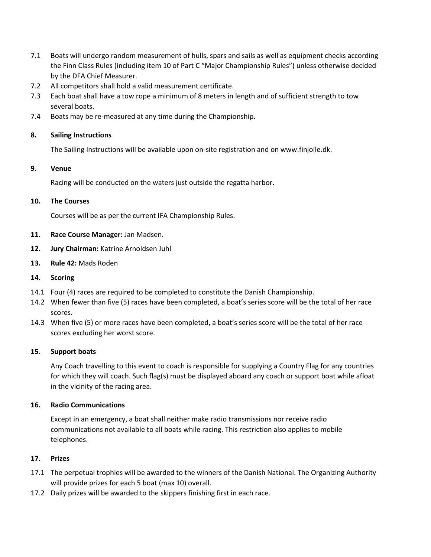- 7.1 Boats will undergo random measurement of hulls, spars and sails as well as equipment checks according the Finn Class Rules (including item 10 of Part C "Major Championship Rules") unless otherwise decided by the DFA Chief Measurer.
- 7.2 All competitors shall hold a valid measurement certificate.
- 7.3 Each boat shall have a tow rope a minimum of 8 meters in length and of sufficient strength to tow several boats.
- 7.4 Boats may be re-measured at any time during the Championship.

#### **8. Sailing Instructions**

The Sailing Instructions will be available upon on-site registration and on www.finjolle.dk.

#### **9. Venue**

Racing will be conducted on the waters just outside the regatta harbor.

#### **10. The Courses**

Courses will be as per the current IFA Championship Rules.

- **11. Race Course Manager:** Jan Madsen.
- **12. Jury Chairman:** Katrine Arnoldsen Juhl
- **13. Rule 42:** Mads Roden
- **14. Scoring**
- 14.1 Four (4) races are required to be completed to constitute the Danish Championship.
- 14.2 When fewer than five (5) races have been completed, a boat's series score will be the total of her race scores.
- 14.3 When five (5) or more races have been completed, a boat's series score will be the total of her race scores excluding her worst score.

#### **15. Support boats**

Any Coach travelling to this event to coach is responsible for supplying a Country Flag for any countries for which they will coach. Such flag(s) must be displayed aboard any coach or support boat while afloat in the vicinity of the racing area.

#### **16. Radio Communications**

Except in an emergency, a boat shall neither make radio transmissions nor receive radio communications not available to all boats while racing. This restriction also applies to mobile telephones.

# **17. Prizes**

- 17.1 The perpetual trophies will be awarded to the winners of the Danish National. The Organizing Authority will provide prizes for each 5 boat (max 10) overall.
- 17.2 Daily prizes will be awarded to the skippers finishing first in each race.